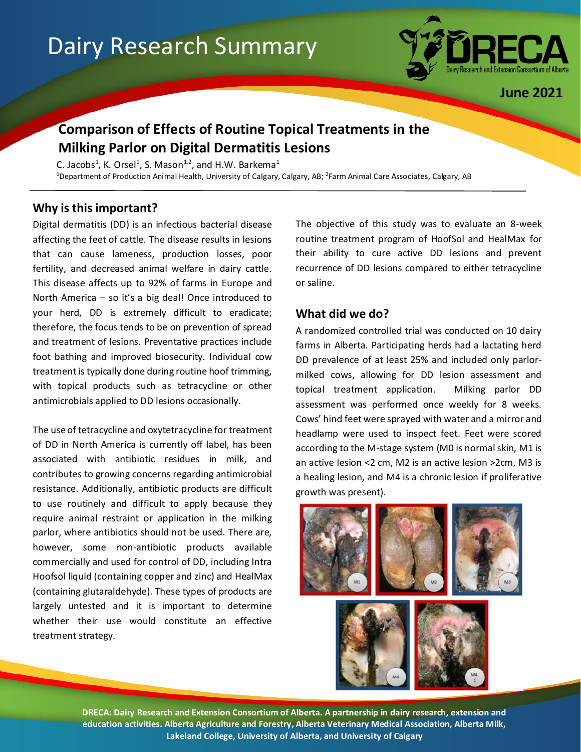# Dairy Research Summary



**June 2021**

## **Comparison of Effects of Routine Topical Treatments in the Milking Parlor on Digital Dermatitis Lesions**

C. Jacobs<sup>1</sup>, K. Orsel<sup>1</sup>, S. Mason<sup>1,2</sup>, and H.W. Barkema<sup>1</sup> <sup>1</sup>Department of Production Animal Health, University of Calgary, Calgary, AB; <sup>2</sup>Farm Animal Care Associates, Calgary, AB

### **Why is this important?**

Digital dermatitis (DD) is an infectious bacterial disease affecting the feet of cattle. The disease results in lesions that can cause lameness, production losses, poor fertility, and decreased animal welfare in dairy cattle. This disease affects up to 92% of farms in Europe and North America – so it's a big deal! Once introduced to your herd, DD is extremely difficult to eradicate; therefore, the focus tends to be on prevention of spread and treatment of lesions. Preventative practices include foot bathing and improved biosecurity. Individual cow treatment is typically done during routine hoof trimming, with topical products such as tetracycline or other antimicrobials applied to DD lesions occasionally.

The use of tetracycline and oxytetracycline for treatment of DD in North America is currently off label, has been associated with antibiotic residues in milk, and contributes to growing concerns regarding antimicrobial resistance. Additionally, antibiotic products are difficult to use routinely and difficult to apply because they require animal restraint or application in the milking parlor, where antibiotics should not be used. There are, however, some non-antibiotic products available commercially and used for control of DD, including Intra Hoofsol liquid (containing copper and zinc) and HealMax (containing glutaraldehyde). These types of products are largely untested and it is important to determine whether their use would constitute an effective treatment strategy.

The objective of this study was to evaluate an 8-week routine treatment program of HoofSol and HealMax for their ability to cure active DD lesions and prevent recurrence of DD lesions compared to either tetracycline or saline.

#### **What did we do?**

A randomized controlled trial was conducted on 10 dairy farms in Alberta. Participating herds had a lactating herd DD prevalence of at least 25% and included only parlormilked cows, allowing for DD lesion assessment and topical treatment application. Milking parlor DD assessment was performed once weekly for 8 weeks. Cows' hind feet were sprayed with water and a mirror and headlamp were used to inspect feet. Feet were scored according to the M-stage system (M0 is normal skin, M1 is an active lesion <2 cm, M2 is an active lesion >2cm, M3 is a healing lesion, and M4 is a chronic lesion if proliferative growth was present).



**DRECA: Dairy Research and Extension Consortium of Alberta. A partnership in dairy research, extension and education activities. Alberta Agriculture and Forestry, Alberta Veterinary Medical Association, Alberta Milk, Lakeland College, University of Alberta, and University of Calgary**